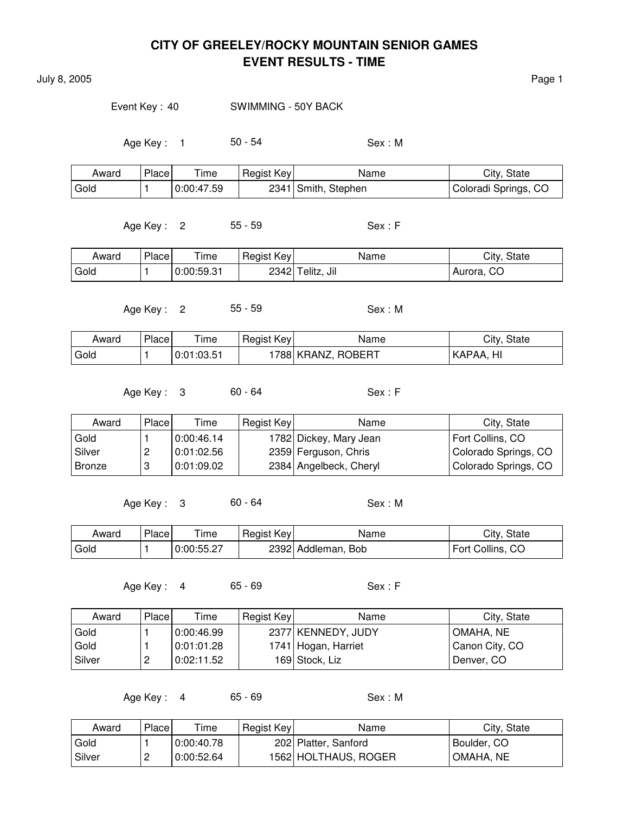July 8, 2005 **Page 1** 

Event Key : 40 SWIMMING - 50Y BACK

Age Key : 1 50 - 54 Sex : M

| Award | Place | Time       | Regist Key | Name                | City, State          |
|-------|-------|------------|------------|---------------------|----------------------|
| Gold  |       | 0:00:47.59 |            | 2341 Smith, Stephen | Coloradi Springs, CO |

Age Key : 2 55 - 59 Sex : F

| Award | Place | ÷.<br>l ime | Regist Key | Name                  | City, State |
|-------|-------|-------------|------------|-----------------------|-------------|
| Gold  |       | 0:00:59.31  |            | Jil<br>$2342$ Telitz, | Aurora, CO  |

Age Key : 2 55 - 59 Sex : M

| Award | Place | Time       | Regist Key | Name               | City, State |
|-------|-------|------------|------------|--------------------|-------------|
| Gold  |       | 0:01:03.51 |            | 1788 KRANZ, ROBERT | !KAPAA, HI  |

Age Key : 3 60 - 64 Sex : F

| Award    | Place | Time       | Regist Key | Name                   | City, State          |
|----------|-------|------------|------------|------------------------|----------------------|
| Gold     |       | 0:00:46.14 |            | 1782 Dickey, Mary Jean | Fort Collins, CO     |
| l Silver |       | 0:01:02.56 |            | 2359 Ferguson, Chris   | Colorado Springs, CO |
| l Bronze |       | 0.01:09.02 |            | 2384 Angelbeck, Cheryl | Colorado Springs, CO |

Age Key: 3 60 - 64 Sex: M

| Award | Place | ime        | Regist Key | Name               | City, State      |
|-------|-------|------------|------------|--------------------|------------------|
| Gold  |       | 0:00:55.27 |            | 2392 Addleman, Bob | Fort Collins, CO |

Age Key : 4 65 - 69 Sex : F

| Award    | Place | Time       | Regist Key | Name                | City, State    |
|----------|-------|------------|------------|---------------------|----------------|
| Gold     |       | 0:00:46.99 |            | 2377 KENNEDY, JUDY  | OMAHA, NE      |
| Gold     |       | 0:01:01.28 |            | 1741 Hogan, Harriet | Canon City, CO |
| l Silver | _     | 0:02:11.52 |            | 169 Stock, Liz      | Denver, CO     |

Age Key : 4 65 - 69 Sex : M

| Award  | Place | Time       | Regist Key | Name                 | City, State |
|--------|-------|------------|------------|----------------------|-------------|
| Gold   |       | 0:00:40.78 |            | 202 Platter, Sanford | Boulder, CO |
| Silver |       | 0:00:52.64 |            | 1562 HOLTHAUS, ROGER | 'OMAHA, NE  |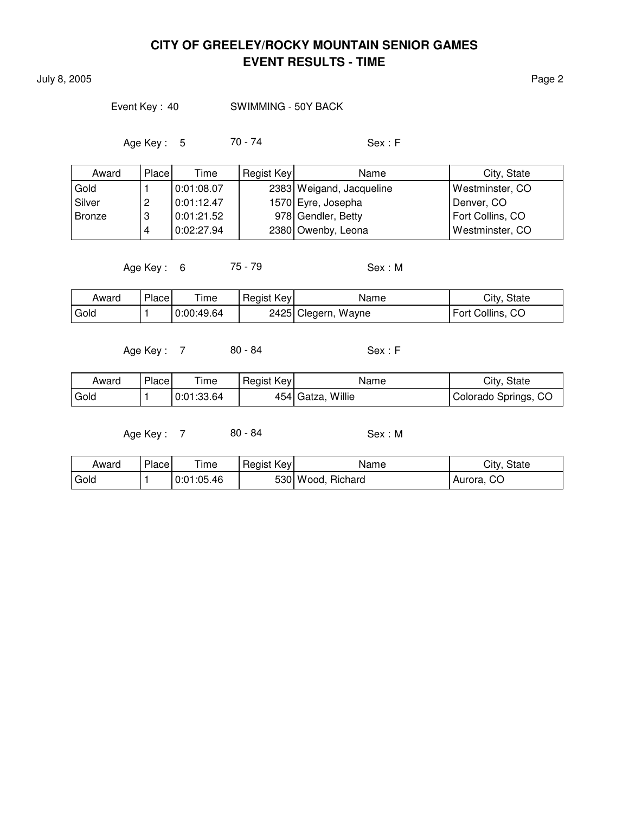July 8, 2005 Page 2

### Event Key: 40 SWIMMING - 50Y BACK

Age Key : 5 70 - 74 Sex : F

| Award  | Place  | Time       | Regist Key | Name                     | City, State      |
|--------|--------|------------|------------|--------------------------|------------------|
| Gold   |        | 0:01:08.07 |            | 2383 Weigand, Jacqueline | Westminster, CO  |
| Silver | റ<br>c | 0:01:12.47 |            | 1570 Eyre, Josepha       | Denver, CO       |
| Bronze | റ<br>v | 0:01:21.52 |            | 978 Gendler, Betty       | Fort Collins, CO |
|        |        | 0:02:27.94 |            | 2380 Owenby, Leona       | Westminster, CO  |

Age Key : 6 75 - 79 Sex : M

| Award  | Place <sub>1</sub> | Time       | Regist Key | Name                | City, State      |
|--------|--------------------|------------|------------|---------------------|------------------|
| l Gold |                    | 0:00:49.64 |            | 2425 Clegern, Wayne | Fort Collins, CO |

Age Key : 7 80 - 84 Sex : F

| Award | Place | ime        | Regist Key | Name              | City, State          |
|-------|-------|------------|------------|-------------------|----------------------|
| Gold  |       | 0:01:33.64 |            | 454 Gatza, Willie | Colorado Springs, CO |

| Award | Place | $T$ ime    | Regist Key | Name              | City, State |
|-------|-------|------------|------------|-------------------|-------------|
| Gold  |       | 0:01:05.46 |            | 530 Wood, Richard | Aurora, CO  |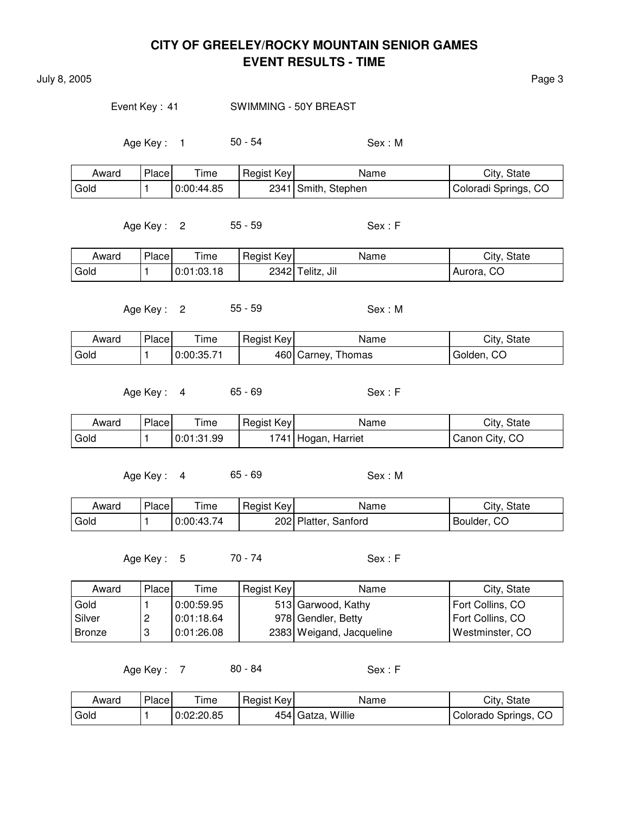July 8, 2005 Page 3

#### Event Key: 41 SWIMMING - 50Y BREAST

Age Key : 1 50 - 54 Sex : M

| Award | Place | Time       | Regist Key | Name                | City, State          |
|-------|-------|------------|------------|---------------------|----------------------|
| Gold  |       | 0:00:44.85 |            | 2341 Smith, Stephen | Coloradi Springs, CO |

Age Key : 2 55 - 59 Sex : F

| Award | Place | ime        | Regist Key | Name             | City, State |
|-------|-------|------------|------------|------------------|-------------|
| Gold  |       | 0:01:03.18 |            | 2342 Telitz, Jil | Aurora, CO  |

Age Key : 2 55 - 59 Sex : M

| Award | Place | Time       | Regist Key | Name               | City, State |
|-------|-------|------------|------------|--------------------|-------------|
| Gold  |       | 0:00:35.71 |            | 460 Carney, Thomas | Golden, CO  |

Age Key: 4 65 - 69 Sex: F

| Award | Place | $\mathsf{r}_{\mathsf{ime}}$ | Regist Key | Name                | City, State    |
|-------|-------|-----------------------------|------------|---------------------|----------------|
| Gold  |       | 0:01:31.99                  |            | 1741 Hogan, Harriet | Canon City, CO |

Age Key: 4 65 - 69 Sex: M

| Award | Place <sub>1</sub> | - -<br>ime | Regist Key | Name                 | City, State |
|-------|--------------------|------------|------------|----------------------|-------------|
| Gold  |                    | 0:00:43.74 |            | 202 Platter, Sanford | Boulder, CO |

Age Key : 5 70 - 74 Sex : F

| Award    | Place | Time       | Regist Key | Name                     | City, State      |
|----------|-------|------------|------------|--------------------------|------------------|
| Gold     |       | 0:00:59.95 |            | 513 Garwood, Kathy       | Fort Collins, CO |
| l Silver | ∠     | 0:01:18.64 |            | 978 Gendler, Betty       | Fort Collins, CO |
| Bronze   |       | 0:01:26.08 |            | 2383 Weigand, Jacqueline | Westminster, CO  |

| Award | Place | ime        | Regist Key | Name              | City, State          |
|-------|-------|------------|------------|-------------------|----------------------|
| Gold  |       | 0:02:20.85 |            | 454 Gatza, Willie | Colorado Springs, CO |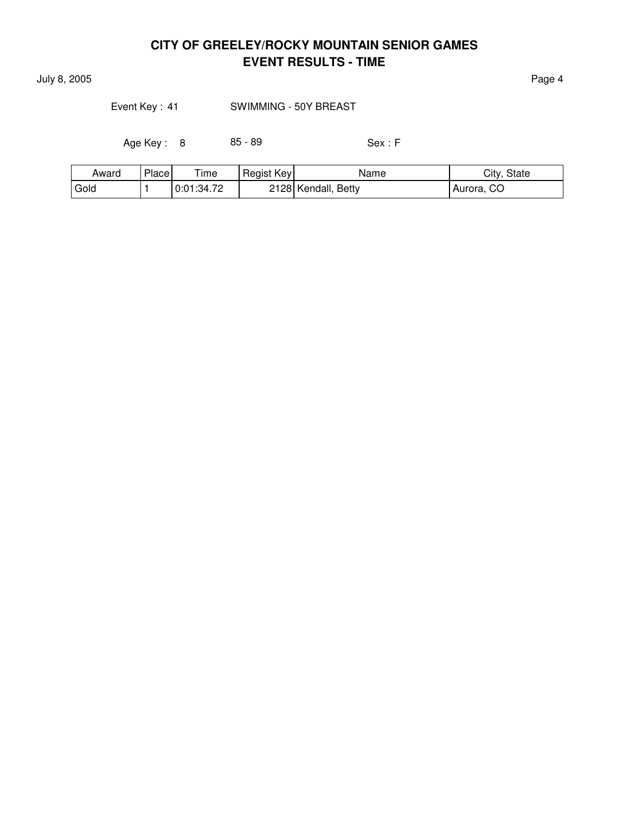July 8, 2005 Page 4

### Event Key: 41 SWIMMING - 50Y BREAST

Age Key : 8 85 - 89 Sex : F

| Award | Place | ÷.<br>ime  | Regist Key | Name                | City, State |
|-------|-------|------------|------------|---------------------|-------------|
| Gold  |       | 0:01:34.72 |            | 2128 Kendall, Betty | Aurora, CO  |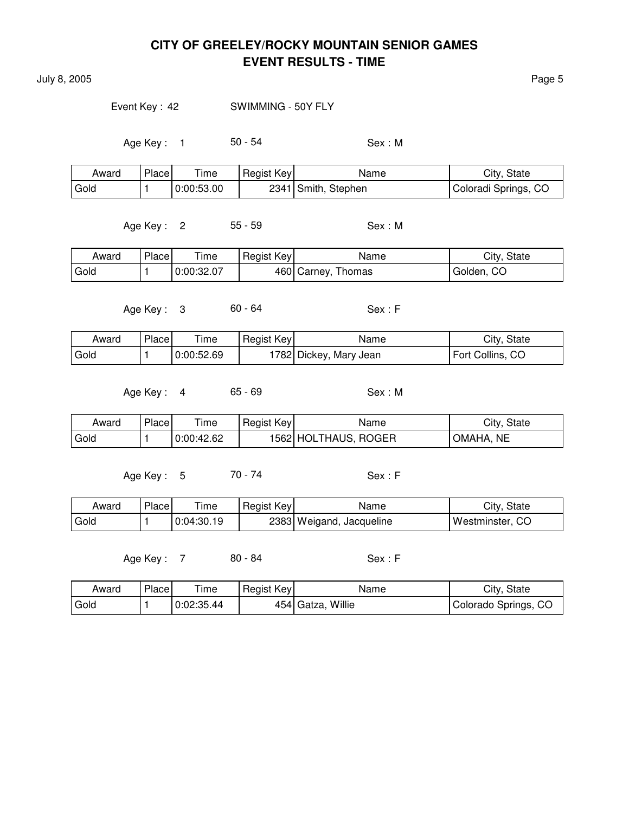July 8, 2005 **Page 5** 

Event Key: 42 SWIMMING - 50Y FLY

Age Key : 1 50 - 54 Sex : M

| Award | Place | Time       | Regist Key | Name                | City, State          |
|-------|-------|------------|------------|---------------------|----------------------|
| Gold  |       | 0:00:53.00 |            | 2341 Smith, Stephen | Coloradi Springs, CO |

Age Key : 2 55 - 59 Sex : M

| Award | Place | $\tau$ ime | Regist Key | Name               | City, State |
|-------|-------|------------|------------|--------------------|-------------|
| Gold  |       | 0:00:32.07 |            | 460 Carney, Thomas | Golden, CO  |

Age Key : 3 60 - 64 Sex : F

| Award  | Place | Time       | Regist Key | Name                    | City, State      |
|--------|-------|------------|------------|-------------------------|------------------|
| l Gold |       | 0:00:52.69 |            | 1782  Dickey, Mary Jean | Fort Collins, CO |

Age Key : 4 65 - 69 Sex : M

| Award | Place | ime        | Regist Key | Name                 | City, State         |
|-------|-------|------------|------------|----------------------|---------------------|
| Gold  |       | 0:00:42.62 |            | 1562 HOLTHAUS, ROGER | <b>NE</b><br>OMAHA. |

Age Key: 5 70 - 74 Sex: F

| Award | Place | $T$ ime    | Regist Key | Name                     | City, State       |
|-------|-------|------------|------------|--------------------------|-------------------|
| Gold  |       | 0:04:30.19 |            | 2383 Weigand, Jacqueline | , Westminster, CO |

| Award | Place | ime        | Regist Key | Name                   | City, State          |
|-------|-------|------------|------------|------------------------|----------------------|
| Gold  |       | 0:02:35.44 |            | Willie<br>$454$ Gatza, | Colorado Springs, CO |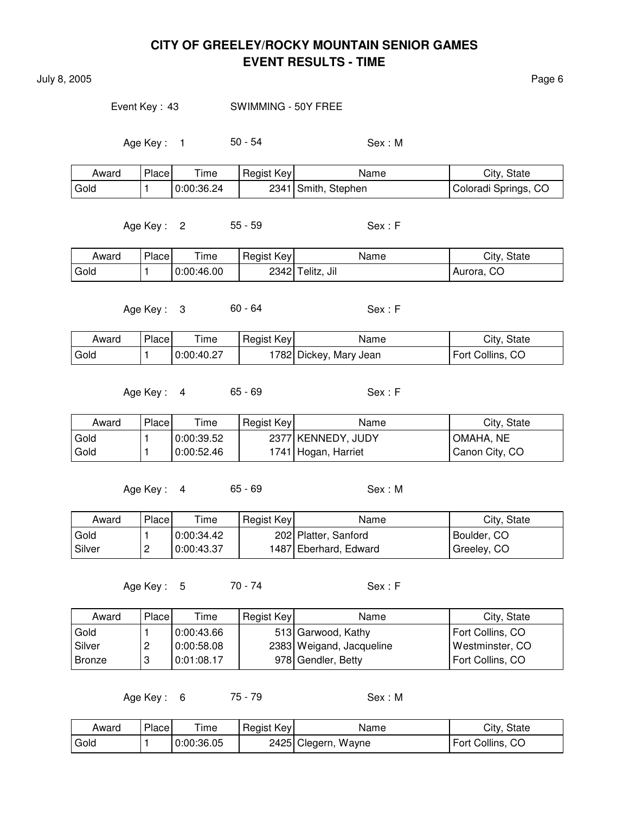July 8, 2005 **Page 6** 

Event Key : 43 SWIMMING - 50Y FREE

Age Key : 1 50 - 54 Sex : M

| Award | Place | $\tau$ ime | Regist Key | Name                | City, State          |
|-------|-------|------------|------------|---------------------|----------------------|
| Gold  |       | 0:00:36.24 |            | 2341 Smith, Stephen | Coloradi Springs, CO |

Age Key : 2 55 - 59 Sex : F

| Award | Place | --<br>ime  | Regist Key | Name             | City, State |
|-------|-------|------------|------------|------------------|-------------|
| Gold  |       | 0:00:46.00 |            | 2342 Telitz, Jil | Aurora, CO  |

Age Key : 3 60 - 64 Sex : F

| Award | Placel | $\tau$ ime | Regist Key | Name                   | City, State      |
|-------|--------|------------|------------|------------------------|------------------|
| Gold  |        | 0:00:40.27 |            | 1782 Dickey, Mary Jean | Fort Collins, CO |

Age Key : 4 65 - 69 Sex : F

| Award | Place | Time       | Regist Key | Name                | City, State    |
|-------|-------|------------|------------|---------------------|----------------|
| Gold  |       | 0:00:39.52 |            | 2377 KENNEDY, JUDY  | I OMAHA. NE    |
| Gold  |       | 0:00:52.46 |            | 1741 Hogan, Harriet | Canon City, CO |

Age Key : 4 65 - 69 Sex : M

| Award  | Place    | Time       | Regist Key | Name                  | City, State |
|--------|----------|------------|------------|-----------------------|-------------|
| Gold   |          | 0:00:34.42 |            | 202 Platter, Sanford  | Boulder, CO |
| Silver | <u>.</u> | 0:00:43.37 |            | 1487 Eberhard, Edward | Greeley, CO |

Age Key : 5 70 - 74 Sex : F

| Award         | Placel | Time       | Regist Key | Name                     | City, State      |
|---------------|--------|------------|------------|--------------------------|------------------|
| Gold          |        | 0:00:43.66 |            | 513 Garwood, Kathy       | Fort Collins, CO |
| Silver        | ←      | 0:00:58.08 |            | 2383 Weigand, Jacqueline | Westminster, CO  |
| <b>Bronze</b> | J      | 0:01:08.17 |            | 978 Gendler, Betty       | Fort Collins, CO |

Age Key: 6 75 - 79 Sex: M

| Award | Place, | ime        | Regist Key | Name                | City, State      |
|-------|--------|------------|------------|---------------------|------------------|
| Gold  |        | 0:00:36.05 |            | 2425 Clegern, Wayne | Fort Collins, CO |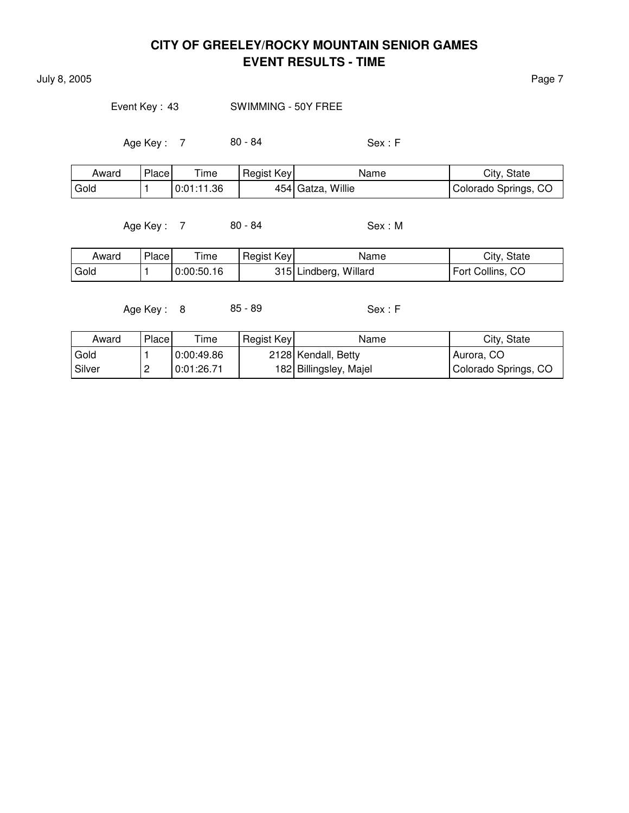July 8, 2005 Page 7

Event Key: 43 SWIMMING - 50Y FREE

Age Key : 7 80 - 84 Sex : F

| Award | Place | Time       | Regist Key | Name              | City, State          |
|-------|-------|------------|------------|-------------------|----------------------|
| Gold  |       | 0:01:11.36 |            | 454 Gatza, Willie | Colorado Springs, CO |

Age Key : 7 80 - 84 Sex : M

| Award | Place | ime        | Regist Key | Name                  | City, State      |
|-------|-------|------------|------------|-----------------------|------------------|
| Gold  |       | 0:00:50.16 |            | 315 Lindberg, Willard | Fort Collins, CO |

Age Key : 8 85 - 89 Sex : F

| Award  | Place | $\tau$ ime | Regist Key | Name                   | City, State          |
|--------|-------|------------|------------|------------------------|----------------------|
| Gold   |       | 0:00:49.86 |            | 2128 Kendall, Betty    | Aurora, CO           |
| Silver | -     | 0:01:26.71 |            | 182 Billingsley, Majel | Golorado Springs, CO |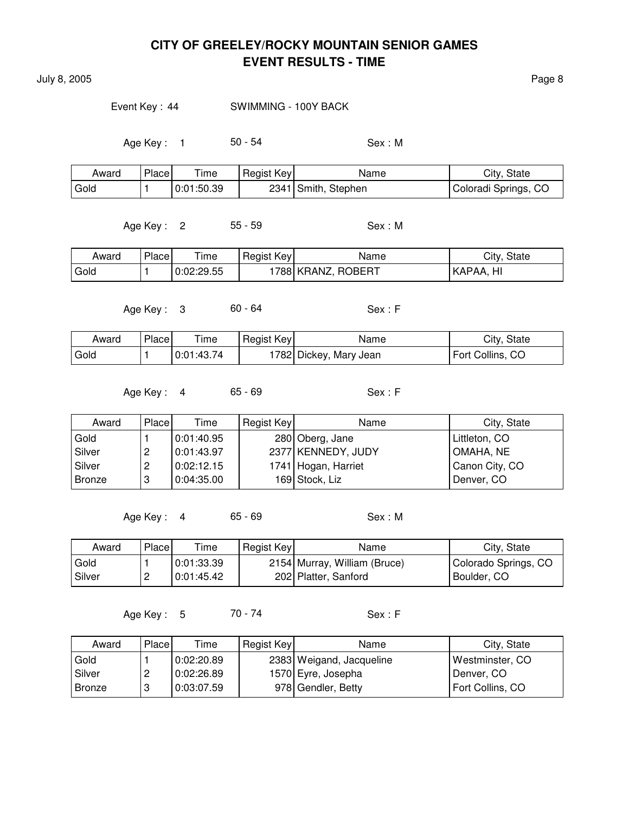July 8, 2005 **Page 8** 

#### Event Key : 44 SWIMMING - 100Y BACK

Age Key : 1 50 - 54 Sex : M

| Award | Place | $\tau$ ime | Regist Key | Name                | City, State          |
|-------|-------|------------|------------|---------------------|----------------------|
| Gold  |       | 0:01:50.39 |            | 2341 Smith, Stephen | Coloradi Springs, CO |

Age Key : 2 55 - 59 Sex : M

| Award | <b>Place</b> | --<br>I ime | Regist Key | Name                     | City, State   |
|-------|--------------|-------------|------------|--------------------------|---------------|
| Gold  |              | 0:02:29.55  |            | , ROBERT<br>`788  KRANZ, | Hı<br>±KAPAA. |

Age Key : 3 60 - 64 Sex : F

| Award  | Place | ime        | Regist Key | Name                    | City, State      |
|--------|-------|------------|------------|-------------------------|------------------|
| l Gold |       | 0:01:43.74 |            | 1782  Dickey, Mary Jean | Fort Collins, CO |

Age Key : 4 65 - 69 Sex : F

| Award  | Place | Time       | Regist Key | Name                | City, State    |
|--------|-------|------------|------------|---------------------|----------------|
| Gold   |       | 0:01:40.95 |            | 280 Oberg, Jane     | Littleton, CO  |
| Silver |       | 0:01:43.97 |            | 2377 KENNEDY, JUDY  | OMAHA, NE      |
| Silver | ←     | 0:02:12.15 |            | 1741 Hogan, Harriet | Canon City, CO |
| Bronze |       | 0:04:35.00 |            | 169 Stock, Liz      | Denver, CO     |

Age Key : 4 65 - 69 Sex : M

| Award    | Place    | Time       | Regist Key | Name                         | City, State          |
|----------|----------|------------|------------|------------------------------|----------------------|
| Gold     |          | 0.01.33.39 |            | 2154 Murray, William (Bruce) | Colorado Springs, CO |
| . Silver | <u>_</u> | 0:01:45.42 |            | 202 Platter, Sanford         | Boulder, CO          |

Age Key : 5 70 - 74 Sex : F

| Award         | Place | Time       | Regist Key | Name                     | City, State      |
|---------------|-------|------------|------------|--------------------------|------------------|
| Gold          |       | 0:02:20.89 |            | 2383 Weigand, Jacqueline | Westminster, CO  |
| Silver        | ▃     | 0:02:26.89 |            | 1570 Eyre, Josepha       | Denver, CO       |
| <b>Bronze</b> |       | 0:03:07.59 |            | 978 Gendler, Betty       | Fort Collins, CO |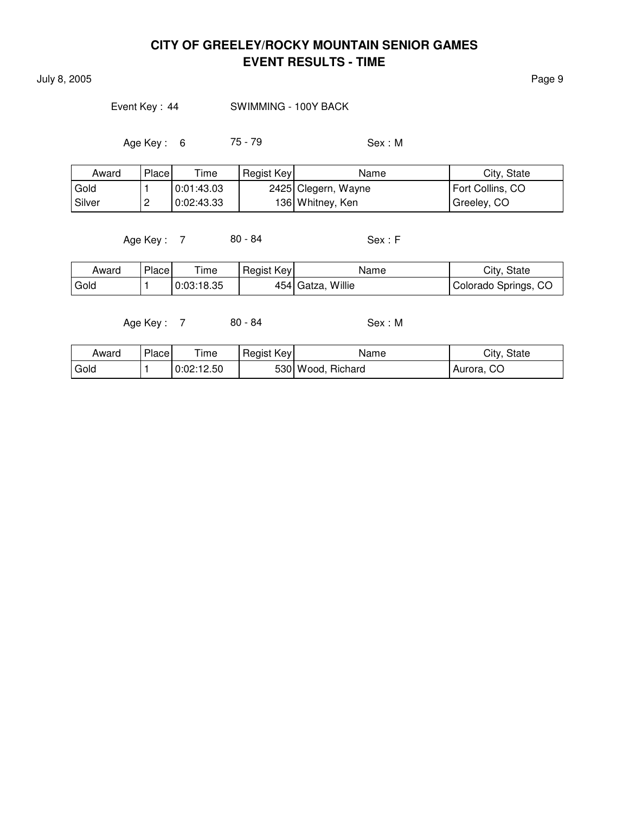July 8, 2005 Page 9

### Event Key: 44 SWIMMING - 100Y BACK

Age Key : 6 75 - 79 Sex : M

| Award  | Place    | Time       | Regist Key | Name                | City, State      |
|--------|----------|------------|------------|---------------------|------------------|
| Gold   |          | 0:01:43.03 |            | 2425 Clegern, Wayne | Fort Collins, CO |
| Silver | <u>_</u> | 0:02:43.33 |            | 136 Whitney, Ken    | Greeley, CO      |

Age Key : 7 80 - 84 Sex : F

| Award | Place | Time       | Regist Key | Name              | City, State          |
|-------|-------|------------|------------|-------------------|----------------------|
| Gold  |       | 0:03:18.35 |            | 454 Gatza, Willie | Colorado Springs, CO |

| Award | Place | $T$ ime    | Regist Key | Name                 | City, State |
|-------|-------|------------|------------|----------------------|-------------|
| Gold  |       | 0:02:12.50 |            | 530 Wood,<br>Richard | Aurora, CO  |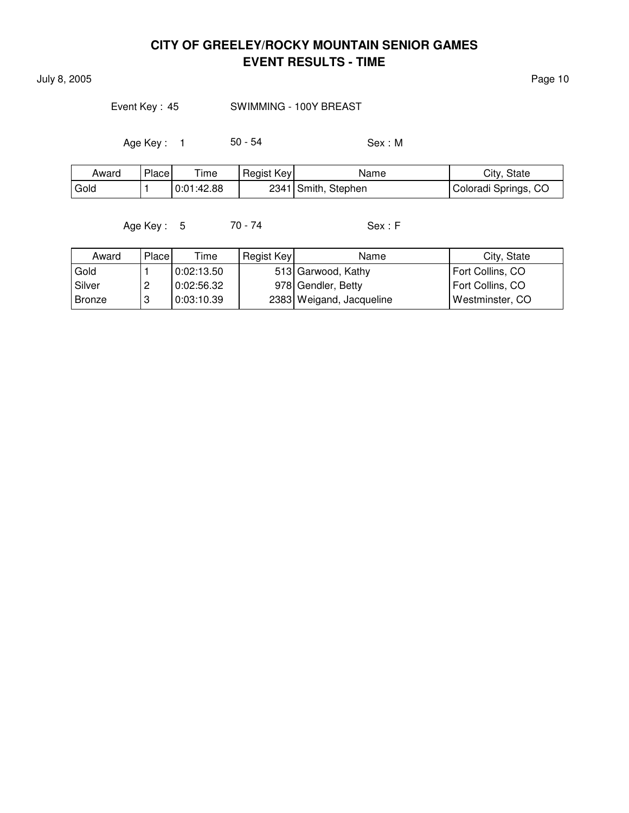July 8, 2005 Page 10

Event Key: 45 SWIMMING - 100Y BREAST

Age Key : 1 50 - 54 Sex : M

| Award | Place | ime        | Regist Key | Name                | City, State          |
|-------|-------|------------|------------|---------------------|----------------------|
| Gold  |       | 0:01:42.88 |            | 2341 Smith, Stephen | Coloradi Springs, CO |

Age Key : 5 70 - 74 Sex : F

| Award         | Place | Time       | Regist Key | Name                     | City, State      |
|---------------|-------|------------|------------|--------------------------|------------------|
| Gold          |       | 0:02:13.50 |            | 513 Garwood, Kathy       | Fort Collins, CO |
| Silver        |       | 0:02:56.32 |            | 978 Gendler, Betty       | Fort Collins, CO |
| <b>Bronze</b> |       | 0:03:10.39 |            | 2383 Weigand, Jacqueline | Westminster, CO  |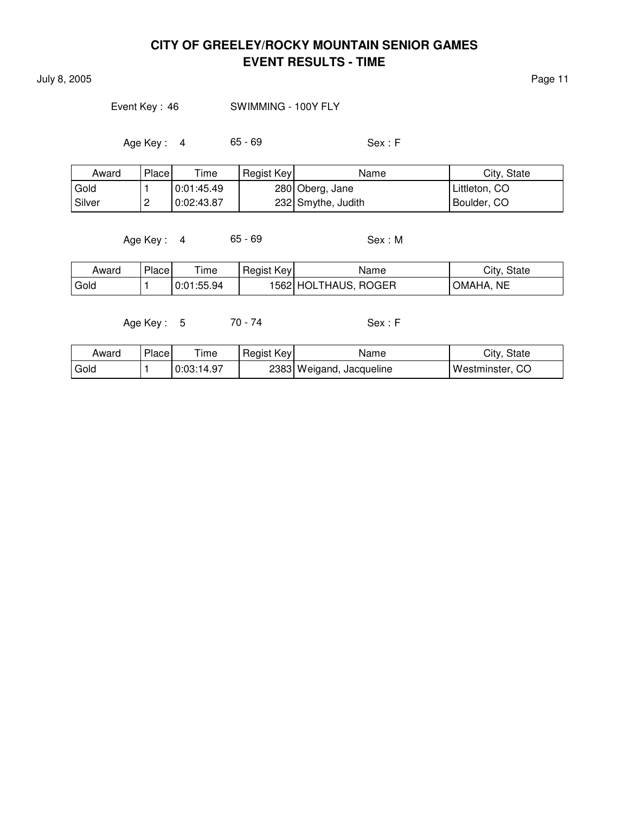July 8, 2005 Page 11

### Event Key: 46 SWIMMING - 100Y FLY

Age Key : 4 65 - 69 Sex : F

| Award  | Place    | Time       | Regist Key | Name               | City, State   |
|--------|----------|------------|------------|--------------------|---------------|
| Gold   |          | 0:01:45.49 |            | 280 Oberg, Jane    | Littleton, CO |
| Silver | <u>_</u> | 0:02:43.87 |            | 232 Smythe, Judith | Boulder, CO   |

Age Key : 4 65 - 69 Sex : M

| Award | Place | Time       | Regist Key | Name                 | City, State |
|-------|-------|------------|------------|----------------------|-------------|
| Gold  |       | 0:01:55.94 |            | 1562 HOLTHAUS, ROGER | OMAHA, NE   |

Age Key : 5 70 - 74 Sex : F

| Award  | Place | ime        | Regist Key | Name                     | City, State     |
|--------|-------|------------|------------|--------------------------|-----------------|
| ' Gold |       | 0:03:14.97 |            | 2383 Weigand, Jacqueline | Westminster, CO |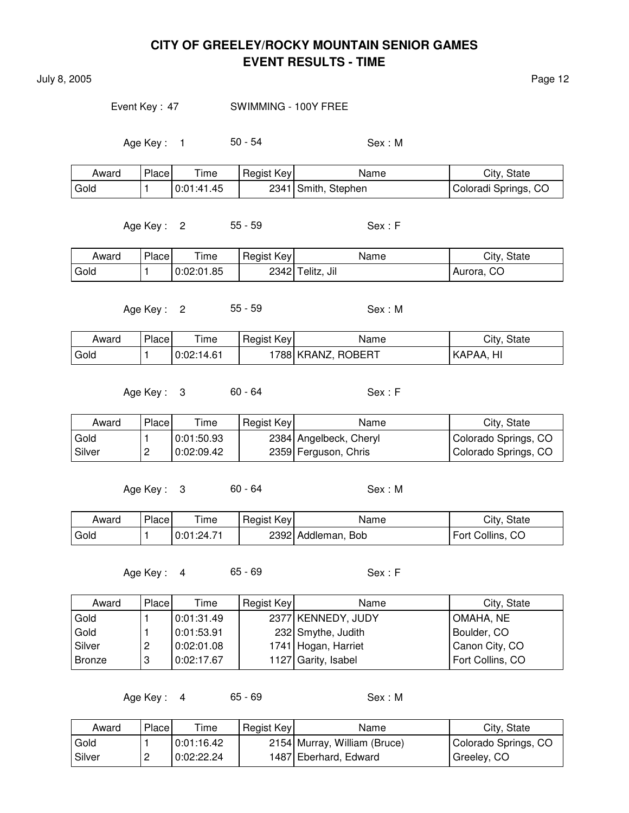July 8, 2005 Page 12

#### Event Key : 47 SWIMMING - 100Y FREE

Age Key : 1 50 - 54 Sex : M

| Award | Place | Time       | Regist Key | Name                | City, State          |
|-------|-------|------------|------------|---------------------|----------------------|
| Gold  |       | 0:01:41.45 |            | 2341 Smith, Stephen | Coloradi Springs, CO |

Age Key : 2 55 - 59 Sex : F

| Award | Place | l ime      | Regist Key | Name             | City, State |
|-------|-------|------------|------------|------------------|-------------|
| Gold  |       | 0:02:01.85 |            | 2342 Telitz, Jil | Aurora, CO  |

Age Key : 2 55 - 59 Sex : M

| Award | Place | $T$ ime    | Regist Key | Name                | City,<br>State |
|-------|-------|------------|------------|---------------------|----------------|
| Gold  |       | 0:02:14.61 |            | 1788  KRANZ, ROBERT | HI<br>KAPAA    |

Age Key : 3 60 - 64 Sex : F

| Award    | Place | Time       | Regist Key | Name                   | City, State          |
|----------|-------|------------|------------|------------------------|----------------------|
| Gold     |       | 0.01.50.93 |            | 2384 Angelbeck, Cheryl | Colorado Springs, CO |
| l Silver | -     | 0:02:09.42 |            | 2359 Ferguson, Chris   | Colorado Springs, CO |

Age Key : 3 60 - 64 Sex : M

| Award | Place | $T$ ime    | Regist Key | Name               | City, State      |
|-------|-------|------------|------------|--------------------|------------------|
| Gold  |       | 0:01:24.71 |            | 2392 Addleman, Bob | Fort Collins, CO |

Age Key : 4 65 - 69 Sex : F

| Award  | Place | Time       | Regist Key | Name                | City, State      |
|--------|-------|------------|------------|---------------------|------------------|
| Gold   |       | 0:01:31.49 |            | 2377 KENNEDY, JUDY  | OMAHA, NE        |
| Gold   |       | 0:01:53.91 |            | 232 Smythe, Judith  | Boulder, CO      |
| Silver | 2     | 0:02:01.08 |            | 1741 Hogan, Harriet | Canon City, CO   |
| Bronze | 3     | 0:02:17.67 |            | 1127 Garity, Isabel | Fort Collins, CO |

Age Key : 4 65 - 69 Sex : M

| Award  | Place | Time       | Regist Key | Name                         | City, State          |
|--------|-------|------------|------------|------------------------------|----------------------|
| Gold   |       | 0.01:16.42 |            | 2154 Murray, William (Bruce) | Colorado Springs, CO |
| Silver | ∸     | 0:02:22.24 |            | 1487 Eberhard, Edward        | Greeley, CO          |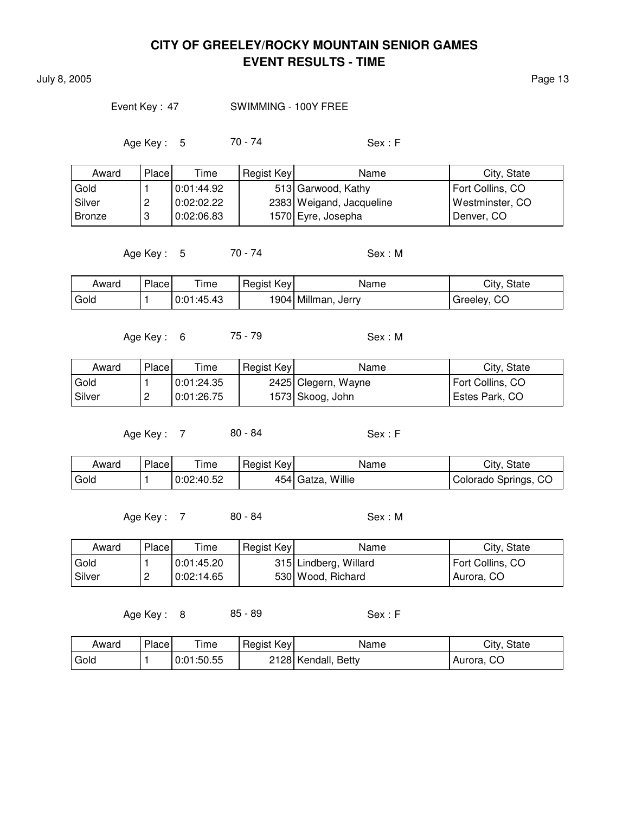July 8, 2005 Page 13

#### Event Key: 47 SWIMMING - 100Y FREE

Age Key : 5 70 - 74 Sex : F

| Award         | Place | Time       | Regist Key | Name                     | City, State      |
|---------------|-------|------------|------------|--------------------------|------------------|
| Gold          |       | 0:01:44.92 |            | 513 Garwood, Kathy       | Fort Collins, CO |
| Silver        | ←     | 0:02:02.22 |            | 2383 Weigand, Jacqueline | Westminster, CO  |
| <b>Bronze</b> | 3     | 0:02:06.83 |            | 1570 Eyre, Josepha       | Denver, CO       |

Age Key : 5 70 - 74 Sex : M

| Award | Place | Time       | Regist Key | Name                | City, State |
|-------|-------|------------|------------|---------------------|-------------|
| Gold  |       | 0:01:45.43 |            | 1904 Millman, Jerry | Greeley, CO |

Age Key : 6 75 - 79 Sex : M

| Award    | Place    | Time       | Regist Key | Name                | City, State      |
|----------|----------|------------|------------|---------------------|------------------|
| Gold     |          | 0:01:24.35 |            | 2425 Clegern, Wayne | Fort Collins, CO |
| l Silver | <u>_</u> | 0:01:26.75 |            | 1573 Skoog, John    | Estes Park, CO   |

Age Key : 7 80 - 84 Sex : F

| Award             | Place | $T$ ime    | Regist Key | Name              | City, State          |
|-------------------|-------|------------|------------|-------------------|----------------------|
| <sup>I</sup> Gold |       | 0:02:40.52 |            | 454 Gatza, Willie | Colorado Springs, CO |

Age Key: 7 80 - 84 Sex: M

Award Place Time Regist Key Name Name City, State Gold 1 0:01:45.20 315 Lindberg, Willard Fort Collins, CO Silver 2 0:02:14.65 530 Wood, Richard Aurora, CO

Age Key : 8 85 - 89 Sex : F

| Award | Place | ime        | Regist Key | Name                   | City.<br>State |
|-------|-------|------------|------------|------------------------|----------------|
| Gold  |       | 0:01:50.55 |            | 2128 Kendall,<br>Betty | Aurora, CO     |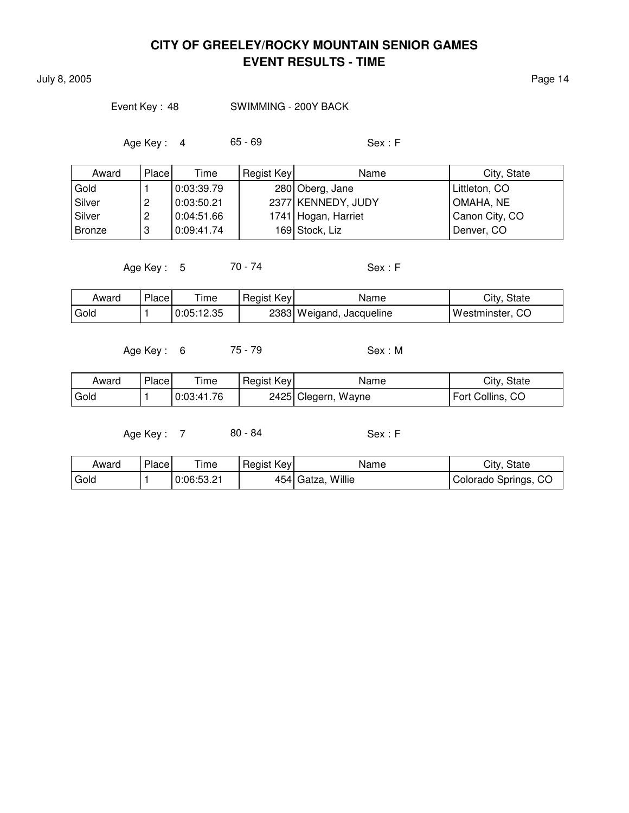July 8, 2005 Page 14

Event Key : 48 SWIMMING - 200Y BACK

Age Key : 4 65 - 69 Sex : F

| Award    | Place | Time       | Regist Key | Name                | City, State    |
|----------|-------|------------|------------|---------------------|----------------|
| Gold     |       | 0:03:39.79 |            | 280 Oberg, Jane     | Littleton, CO  |
| Silver   |       | 0:03:50.21 |            | 2377 KENNEDY, JUDY  | OMAHA, NE      |
| l Silver | ∠     | 0:04:51.66 |            | 1741 Hogan, Harriet | Canon City, CO |
| Bronze   | 3     | 0:09:41.74 |            | 169 Stock, Liz      | Denver, CO     |

Age Key : 5 70 - 74 Sex : F

| Award | Place | ıme        | Regist Key | Name                     | City, State     |
|-------|-------|------------|------------|--------------------------|-----------------|
| Gold  |       | 0:05:12.35 |            | 2383 Weigand, Jacqueline | Westminster, CO |

Age Key : 6 75 - 79 Sex : M

| Award  | Place | $T$ ime    | Regist Key | Name                | City, State      |
|--------|-------|------------|------------|---------------------|------------------|
| l Gold |       | 0.03.41.76 |            | 2425 Clegern, Wayne | Fort Collins, CO |

| Award  | Place | $\tau$ ime | Regist Key | Name              | City, State          |
|--------|-------|------------|------------|-------------------|----------------------|
| l Gold |       | 0:06:53.21 |            | 454 Gatza, Willie | Colorado Springs, CO |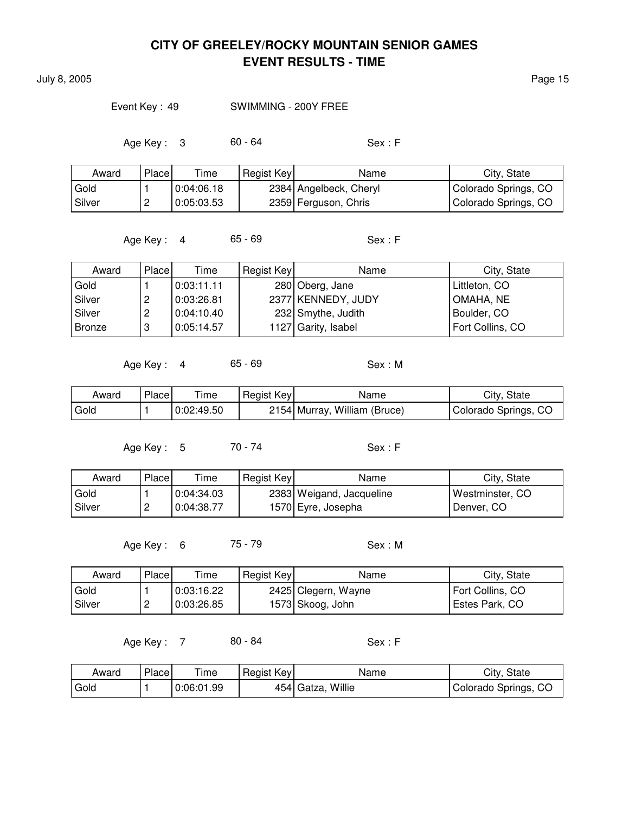July 8, 2005 Page 15

#### Event Key: 49 SWIMMING - 200Y FREE

Age Key : 3 60 - 64 Sex : F

| Award  | Place    | Time       | Regist Key | Name                   | City, State          |
|--------|----------|------------|------------|------------------------|----------------------|
| Gold   |          | 0:04:06.18 |            | 2384 Angelbeck, Cheryl | Colorado Springs, CO |
| Silver | <u>_</u> | 0:05:03.53 |            | 2359 Ferguson, Chris   | Colorado Springs, CO |

Age Key : 4 65 - 69 Sex : F

| Award         | Place | Time       | Regist Key | Name                | City, State      |
|---------------|-------|------------|------------|---------------------|------------------|
| Gold          |       | 0.03:11.11 |            | 280 Oberg, Jane     | Littleton, CO    |
| Silver        | ∼     | 0:03:26.81 |            | 2377 KENNEDY, JUDY  | OMAHA, NE        |
| Silver        | 2     | 0:04:10.40 |            | 232 Smythe, Judith  | Boulder, CO      |
| <b>Bronze</b> | 3     | 0:05:14.57 |            | 1127 Garity, Isabel | Fort Collins, CO |

Age Key : 4 65 - 69 Sex : M

| Award | Place | Time       | Regist Key | Name                         | City, State          |
|-------|-------|------------|------------|------------------------------|----------------------|
| Gold  |       | 0:02:49.50 |            | 2154 Murray, William (Bruce) | Colorado Springs, CO |

Age Key : 5 70 - 74 Sex : F

| Award  | Place    | Time       | Regist Key | Name                     | City, State       |
|--------|----------|------------|------------|--------------------------|-------------------|
| Gold   |          | 0:04:34.03 |            | 2383 Weigand, Jacqueline | l Westminster. CO |
| Silver | <u>_</u> | 0:04:38.77 |            | 1570 Eyre, Josepha       | Denver, CO        |

Age Key : 6 75 - 79 Sex : M

| Award  | Place    | Time       | Regist Key | Name                | City, State      |
|--------|----------|------------|------------|---------------------|------------------|
| Gold   |          | 0:03:16.22 |            | 2425 Clegern, Wayne | Fort Collins, CO |
| Silver | <u>_</u> | 0:03:26.85 |            | 1573 Skoog, John    | Estes Park, CO   |

| Award | Place | Time       | Regist Key | Name              | City, State          |
|-------|-------|------------|------------|-------------------|----------------------|
| Gold  |       | 0:06:01.99 |            | 454 Gatza, Willie | Colorado Springs, CO |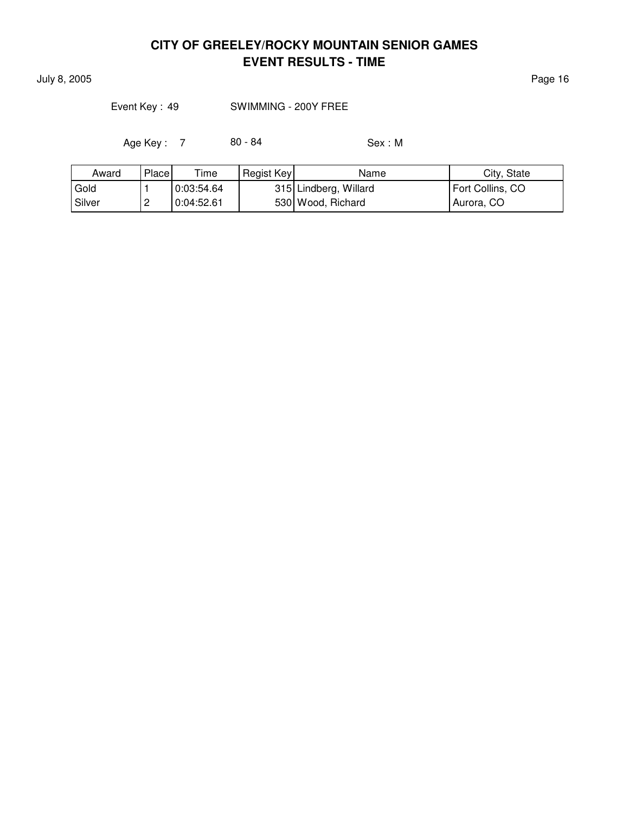July 8, 2005 Page 16

Event Key : 49 SWIMMING - 200Y FREE

| Award  | Place    | $T$ ime    | Regist Key | Name                  | City, State      |
|--------|----------|------------|------------|-----------------------|------------------|
| Gold   |          | 0:03:54.64 |            | 315 Lindberg, Willard | Fort Collins, CO |
| Silver | <u>_</u> | 0:04:52.61 |            | 530 Wood, Richard     | Aurora, CO       |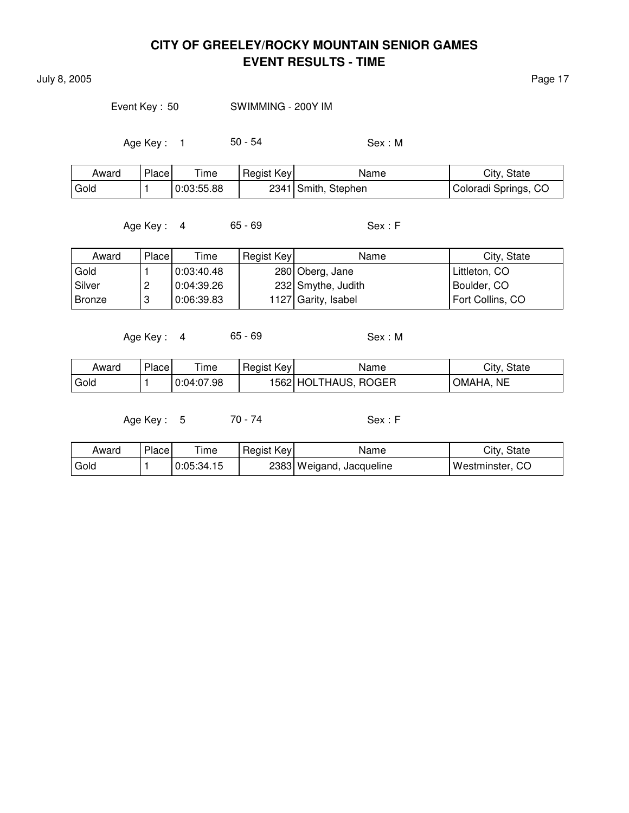July 8, 2005 Page 17

Event Key : 50 SWIMMING - 200Y IM

Age Key : 1 50 - 54 Sex : M

| Award | Place <sub>1</sub> | $T$ ime    | Regist Key | Name                | City, State          |
|-------|--------------------|------------|------------|---------------------|----------------------|
| Gold  |                    | 0:03:55.88 |            | 2341 Smith, Stephen | Coloradi Springs, CO |

Age Key : 4 65 - 69 Sex : F

Award Place Time Regist Key Name Name City, State Gold 1 0:03:40.48 280 Oberg, Jane Littleton, CO Silver | 2 | 0:04:39.26 | 232 Smythe, Judith | Boulder, CO Bronze | 3 | 0:06:39.83 | 1127 Garity, Isabel | Fort Collins, CO

Age Key : 4 65 - 69 Sex : M

| Award | <b>Place</b> | Time       | Regist Key | Name                 | City, State  |
|-------|--------------|------------|------------|----------------------|--------------|
| Gold  |              | 0:04:07.98 |            | 1562 HOLTHAUS, ROGER | NE<br>OMAHA. |

Age Key : 5 70 - 74 Sex : F

| Award             | Place | ime        | Regist Key | Name                     | City, State     |
|-------------------|-------|------------|------------|--------------------------|-----------------|
| <sup>'</sup> Gold |       | 0:05:34.15 |            | 2383 Weigand, Jacqueline | Westminster, CO |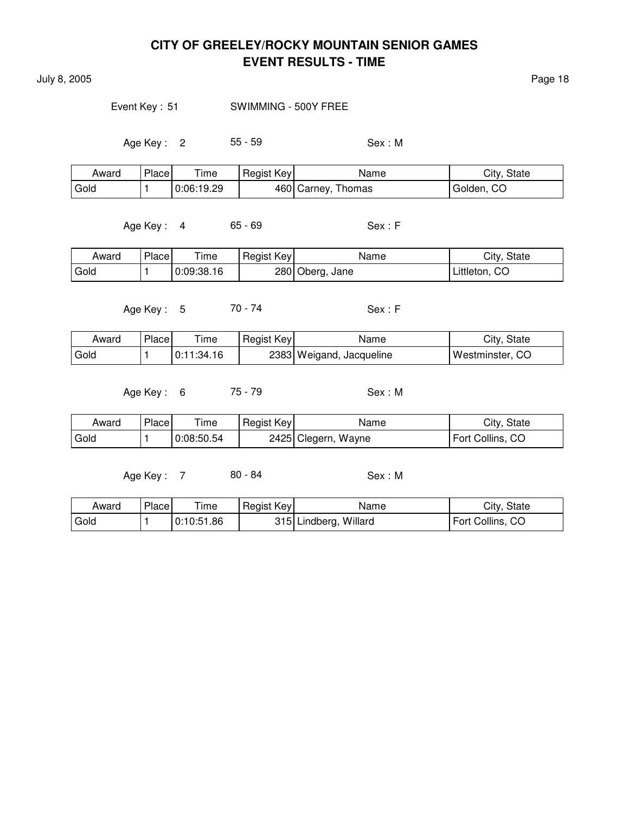July 8, 2005 Page 18

Event Key : 51 SWIMMING - 500Y FREE

Age Key : 2 55 - 59 Sex : M

| Award | Place | --<br>ime  | Regist Key | Name               | City, State |
|-------|-------|------------|------------|--------------------|-------------|
| Gold  |       | 0:06:19.29 |            | 460 Carney, Thomas | Golden, CO  |

Age Key : 4 65 - 69 Sex : F

| Award | Place | ime        | Regist Key | Name            | City, State   |
|-------|-------|------------|------------|-----------------|---------------|
| Gold  |       | 0:09:38.16 |            | 280 Oberg, Jane | Littleton, CO |

Age Key : 5 70 - 74 Sex : F

| Award  | Place | ime        | Regist Key | Name                     | City, State     |
|--------|-------|------------|------------|--------------------------|-----------------|
| l Gold |       | 0:11:34.16 |            | 2383 Weigand, Jacqueline | Westminster, CO |

Age Key : 6 75 - 79 Sex : M

| Award | <b>Place</b> | ime        | Regist Key | Name                | City, State      |
|-------|--------------|------------|------------|---------------------|------------------|
| Gold  |              | 0:08:50.54 |            | 2425 Clegern, Wayne | Fort Collins, CO |

| Award | Place | Time       | Regist Key | Name                  | City, State      |
|-------|-------|------------|------------|-----------------------|------------------|
| Gold  |       | 0:10:51.86 |            | 315 Lindberg, Willard | Fort Collins, CO |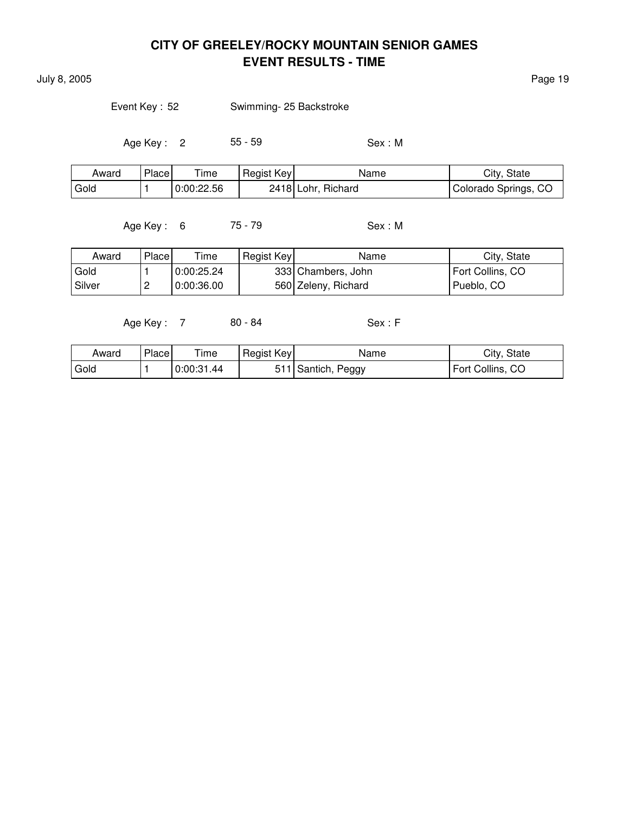July 8, 2005 Page 19

Event Key : 52 Swimming- 25 Backstroke

Age Key : 2 55 - 59 Sex : M

| Award | Place | $T$ ime    | Regist Key | Name               | City, State          |
|-------|-------|------------|------------|--------------------|----------------------|
| Gold  |       | 0:00:22.56 |            | 2418 Lohr, Richard | Colorado Springs, CO |

Age Key : 6 75 - 79 Sex : M

| Award    | Place    | Time       | Regist Key | Name                | City, State      |
|----------|----------|------------|------------|---------------------|------------------|
| Gold     |          | 0:00:25.24 |            | 333 Chambers, John  | Fort Collins, CO |
| l Silver | <u>_</u> | 0:00:36.00 |            | 560 Zeleny, Richard | Pueblo, CO       |

| Award             | Place | --<br>ime  | Regist Key | Name               | City, State         |
|-------------------|-------|------------|------------|--------------------|---------------------|
| <sup>I</sup> Gold |       | 0:00:31.44 |            | Peggy<br>'Santich, | Fort Collins,<br>CO |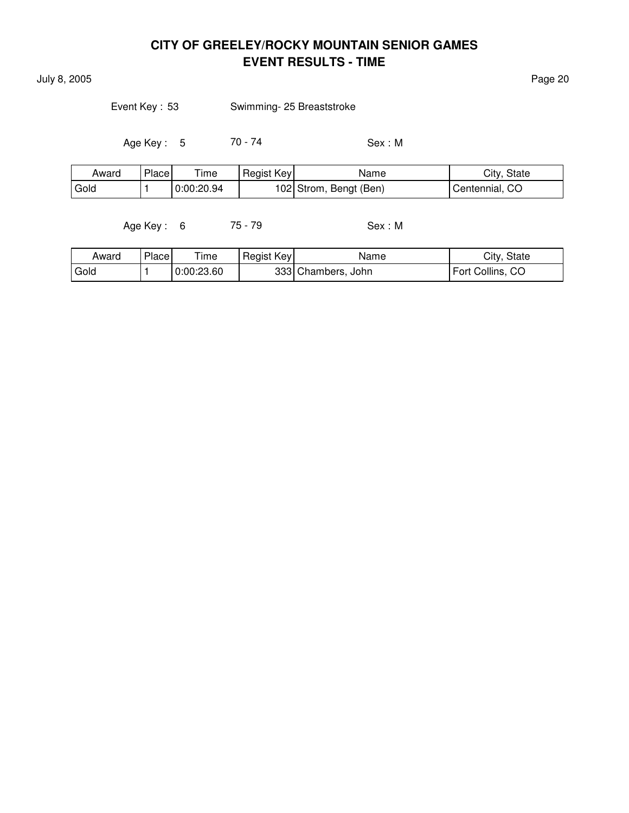July 8, 2005 Page 20

Event Key : 53 Swimming- 25 Breaststroke

Age Key : 5 70 - 74 Sex : M

| Award | Place | $T$ ime    | Regist Key | Name                   | City, State    |
|-------|-------|------------|------------|------------------------|----------------|
| Gold  |       | 0:00:20.94 |            | 102 Strom, Bengt (Ben) | Centennial, CO |

Age Key : 6 75 - 79 Sex : M

| Award | Place <sub>1</sub> | ime        | Regist Key | Name               | City, State      |
|-------|--------------------|------------|------------|--------------------|------------------|
| Gold  |                    | 0:00:23.60 |            | 333 Chambers, John | Fort Collins, CO |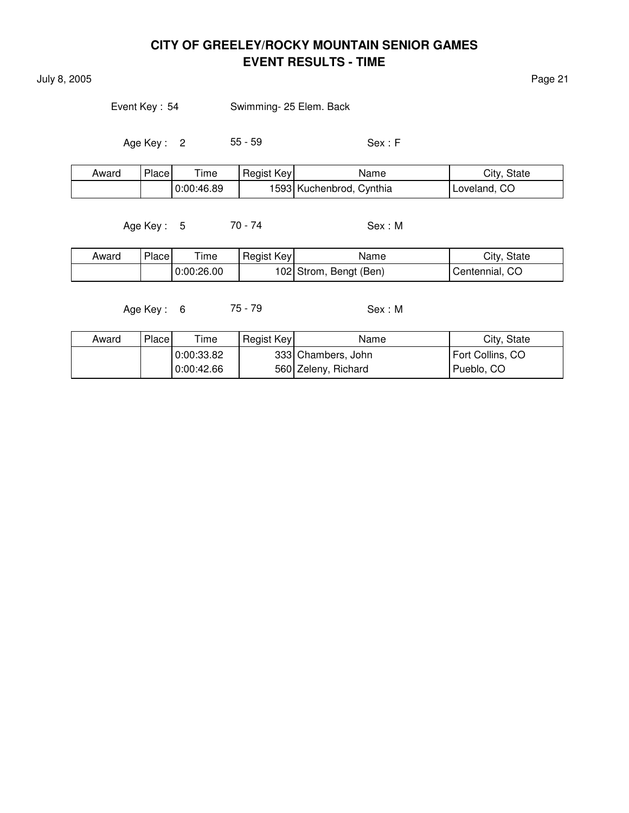July 8, 2005 Page 21

Event Key: 54 Swimming- 25 Elem. Back

Age Key : 2 55 - 59 Sex : F

| Award | Place | $\tau$ ime | Regist Key | Name                     | City, State  |
|-------|-------|------------|------------|--------------------------|--------------|
|       |       | 0:00:46.89 |            | 1593 Kuchenbrod, Cynthia | Loveland, CO |

Age Key : 5 70 - 74 Sex : M

| Award | Place | Time       | Regist Key | Name                   | City, State    |
|-------|-------|------------|------------|------------------------|----------------|
|       |       | 0:00:26.00 |            | 102 Strom, Bengt (Ben) | Centennial, CO |

Age Key : 6 75 - 79 Sex : M

| Award | Place | Time       | Regist Key | Name                | City, State      |
|-------|-------|------------|------------|---------------------|------------------|
|       |       | 0:00:33.82 |            | 333 Chambers, John  | Fort Collins, CO |
|       |       | 0.00.42.66 |            | 560 Zeleny, Richard | Pueblo, CO       |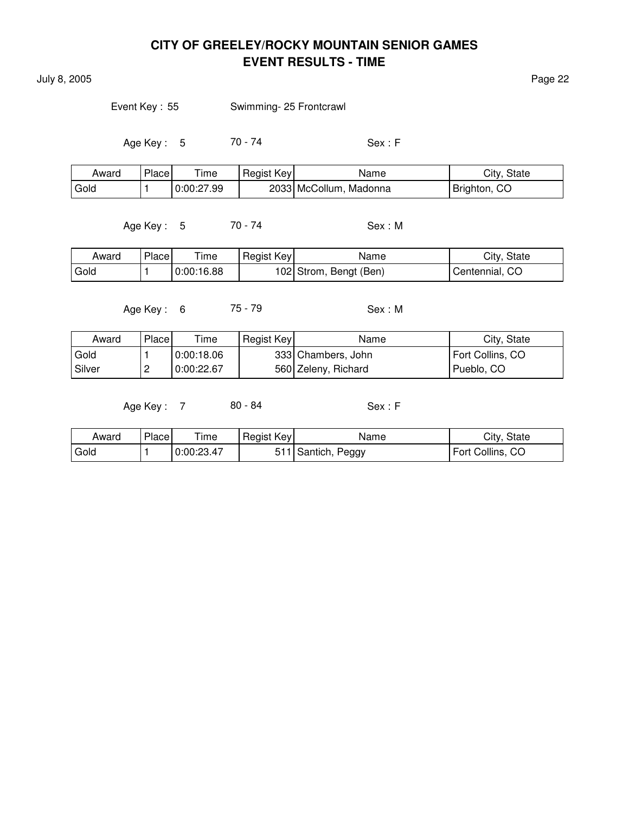July 8, 2005 Page 22

Event Key: 55 Swimming- 25 Frontcrawl

Age Key : 5 70 - 74 Sex : F

| Award | Place | Time       | Regist Key | Name                   | City, State  |
|-------|-------|------------|------------|------------------------|--------------|
| Gold  |       | 0:00:27.99 |            | 2033 McCollum, Madonna | Brighton, CO |

Age Key : 5 70 - 74 Sex : M

| Award | Place | ime        | Regist Key | Name                   | City, State    |
|-------|-------|------------|------------|------------------------|----------------|
| Gold  |       | 0:00:16.88 |            | 102 Strom, Bengt (Ben) | Centennial, CO |

Age Key : 6 75 - 79 Sex : M

| Award    | Place    | Time       | Regist Key | Name                | City, State      |
|----------|----------|------------|------------|---------------------|------------------|
| Gold     |          | 0.00:18.06 |            | 333  Chambers, John | Fort Collins, CO |
| l Silver | <u>_</u> | 0:00:22.67 |            | 560 Zeleny, Richard | Pueblo, CO       |

| Award | Place | Time       | Regist Key | Name               | City, State      |
|-------|-------|------------|------------|--------------------|------------------|
| Gold  |       | 0:00:23.47 |            | 511 Santich, Peggy | Fort Collins, CO |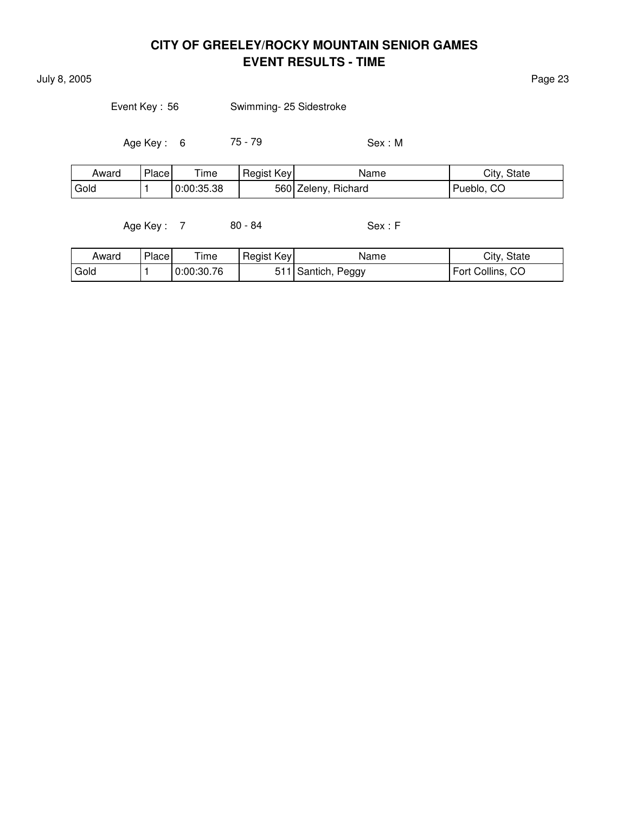July 8, 2005 Page 23

| Event Key: 56 | Swimming- 25 Sidestroke |
|---------------|-------------------------|
|               |                         |

Age Key : 6 75 - 79 Sex : M

| Award | Place | ÷.<br>ime  | Regist Key | Name                | City, State |
|-------|-------|------------|------------|---------------------|-------------|
| Gold  |       | 0:00:35.38 |            | 560 Zeleny, Richard | Pueblo, CO  |

| Award  | Place | ime        | Regist Key | Name                      | City, State      |
|--------|-------|------------|------------|---------------------------|------------------|
| ' Gold |       | 0:00:30.76 |            | $ 1 $ Santich, .<br>Peggy | Fort Collins, CO |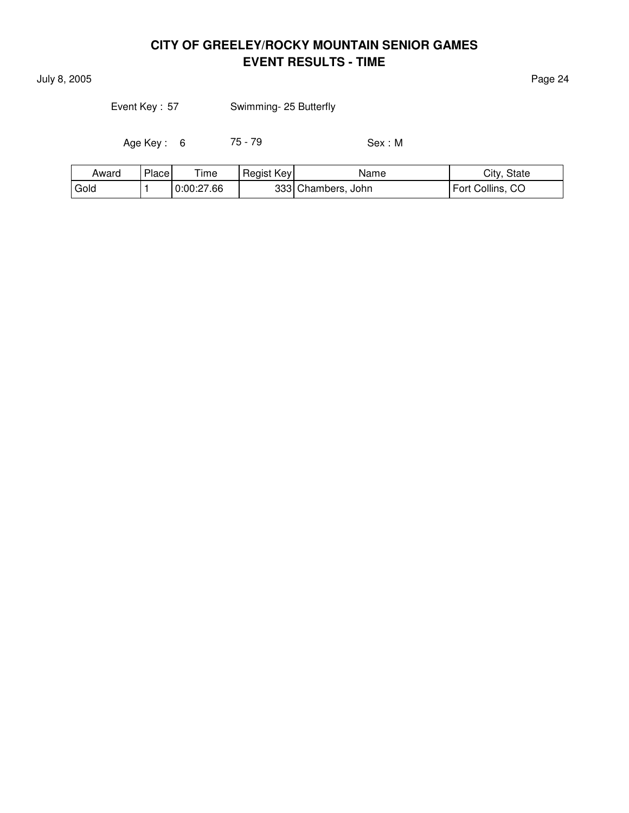July 8, 2005 Page 24

Event Key : 57 Swimming- 25 Butterfly

Age Key : 6 75 - 79 Sex : M

| Award | Place | --<br>ime  | Regist Key | Name               | City, State      |
|-------|-------|------------|------------|--------------------|------------------|
| Gold  |       | 0:00:27.66 |            | 333 Chambers, John | Fort Collins, CO |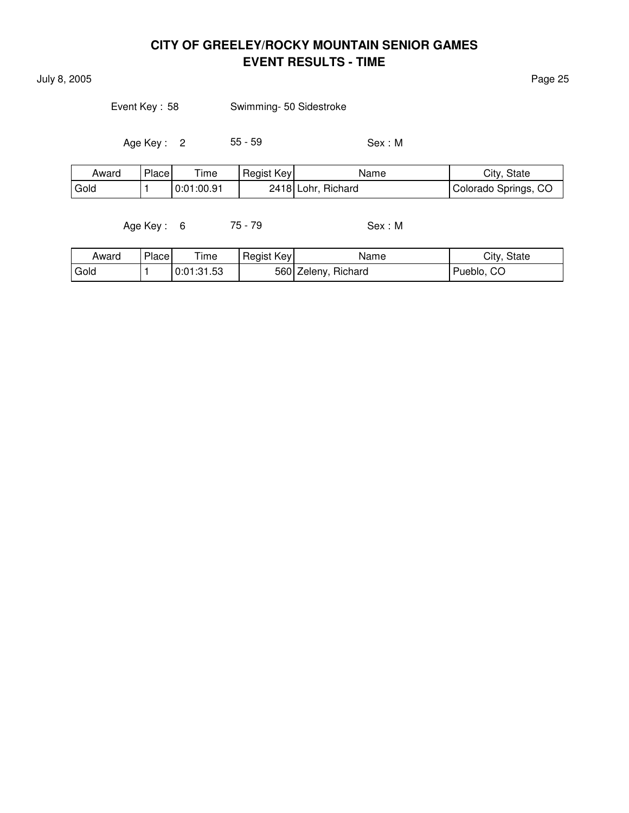July 8, 2005 Page 25

| Event Key: 58 |  | Swimming- 50 Sidestroke |
|---------------|--|-------------------------|
|---------------|--|-------------------------|

Age Key : 2 55 - 59 Sex : M

| Award             | Place | $T$ ime    | Regist Key | Name               | City, State          |
|-------------------|-------|------------|------------|--------------------|----------------------|
| <sup>I</sup> Gold |       | 0:01:00.91 |            | 2418 Lohr, Richard | Colorado Springs, CO |

Age Key : 6 75 - 79 Sex : M

| Award | Place | ime        | Regist Key | Name                | City, State |
|-------|-------|------------|------------|---------------------|-------------|
| Gold  |       | 0:01:31.53 |            | 560 Zeleny, Richard | Pueblo, CO  |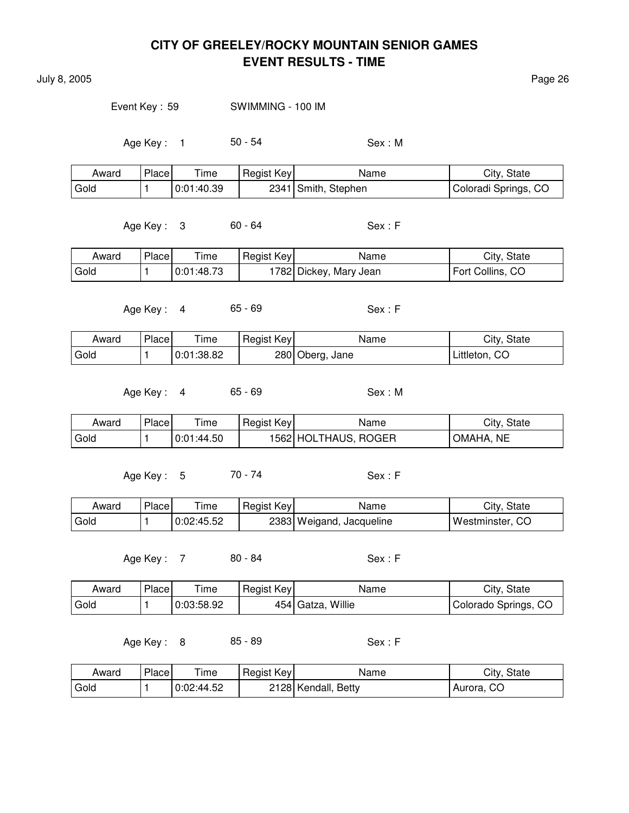July 8, 2005 Page 26

Event Key : 59 SWIMMING - 100 IM

Age Key : 1 50 - 54 Sex : M

| Award | Place | Time       | Regist Key | Name                | City, State          |
|-------|-------|------------|------------|---------------------|----------------------|
| Gold  |       | 0:01:40.39 |            | 2341 Smith, Stephen | Coloradi Springs, CO |

Age Key : 3 60 - 64 Sex : F

| Award | Place | $\mathsf{r}$ ime | Regist Key | Name                   | City, State      |
|-------|-------|------------------|------------|------------------------|------------------|
| Gold  |       | 0:01:48.73       |            | 1782 Dickey, Mary Jean | Fort Collins, CO |

Age Key : 4 65 - 69 Sex : F

| Award | Place | l ime      | Regist Key | Name            | City, State   |
|-------|-------|------------|------------|-----------------|---------------|
| Gold  |       | 0:01:38.82 |            | 280 Oberg, Jane | Littleton, CO |

Age Key : 4 65 - 69 Sex : M

| Award | <b>Place</b> | Time       | Regist Key | Name                 | City, State          |
|-------|--------------|------------|------------|----------------------|----------------------|
| Gold  |              | 0:01:44.50 |            | 1562 HOLTHAUS, ROGER | <b>NE</b><br>`OMAHA. |

Age Key: 5 70 - 74 Sex: F

| Award | Place | ime        | Regist Key | Name                     | City, State       |
|-------|-------|------------|------------|--------------------------|-------------------|
| Gold  |       | 0:02:45.52 |            | 2383 Weigand, Jacqueline | ' Westminster. CO |

Age Key : 7 80 - 84 Sex : F

| Award | Place. | — .<br>ime | Regist Key | Name             | City, State          |
|-------|--------|------------|------------|------------------|----------------------|
| Gold  |        | 0:03:58.92 | 454        | Willie<br>Gatza, | Colorado Springs, CO |

Age Key : 8 85 - 89 Sex : F

| Award | Place | Time       | Regist Key | Name                | City, State |
|-------|-------|------------|------------|---------------------|-------------|
| Gold  |       | 0:02:44.52 |            | 2128 Kendall, Betty | Aurora, CO  |